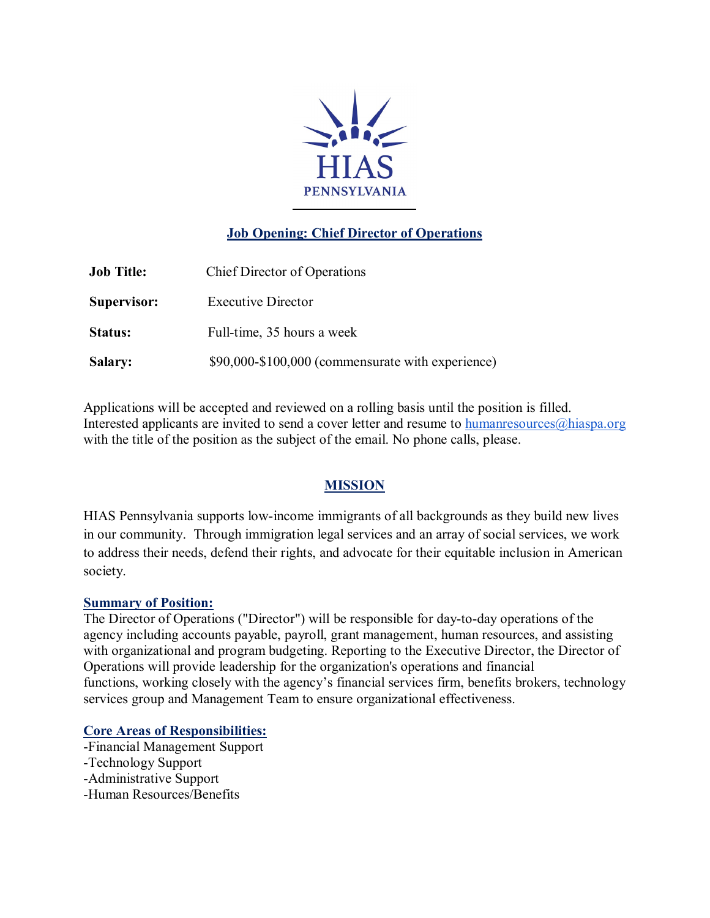

# **Job Opening: Chief Director of Operations**

| <b>Job Title:</b> | <b>Chief Director of Operations</b>               |
|-------------------|---------------------------------------------------|
| Supervisor:       | <b>Executive Director</b>                         |
| Status:           | Full-time, 35 hours a week                        |
| <b>Salary:</b>    | \$90,000-\$100,000 (commensurate with experience) |

Applications will be accepted and reviewed on a rolling basis until the position is filled. Interested applicants are invited to send a cover letter and resume to humanresources $\omega$ hiaspa.org with the title of the position as the subject of the email. No phone calls, please.

## **MISSION**

HIAS Pennsylvania supports low-income immigrants of all backgrounds as they build new lives in our community. Through immigration legal services and an array of social services, we work to address their needs, defend their rights, and advocate for their equitable inclusion in American society.

#### **Summary of Position:**

The Director of Operations ("Director") will be responsible for day-to-day operations of the agency including accounts payable, payroll, grant management, human resources, and assisting with organizational and program budgeting. Reporting to the Executive Director, the Director of Operations will provide leadership for the organization's operations and financial functions, working closely with the agency's financial services firm, benefits brokers, technology services group and Management Team to ensure organizational effectiveness.

#### **Core Areas of Responsibilities:**

- -Financial Management Support
- -Technology Support
- -Administrative Support
- -Human Resources/Benefits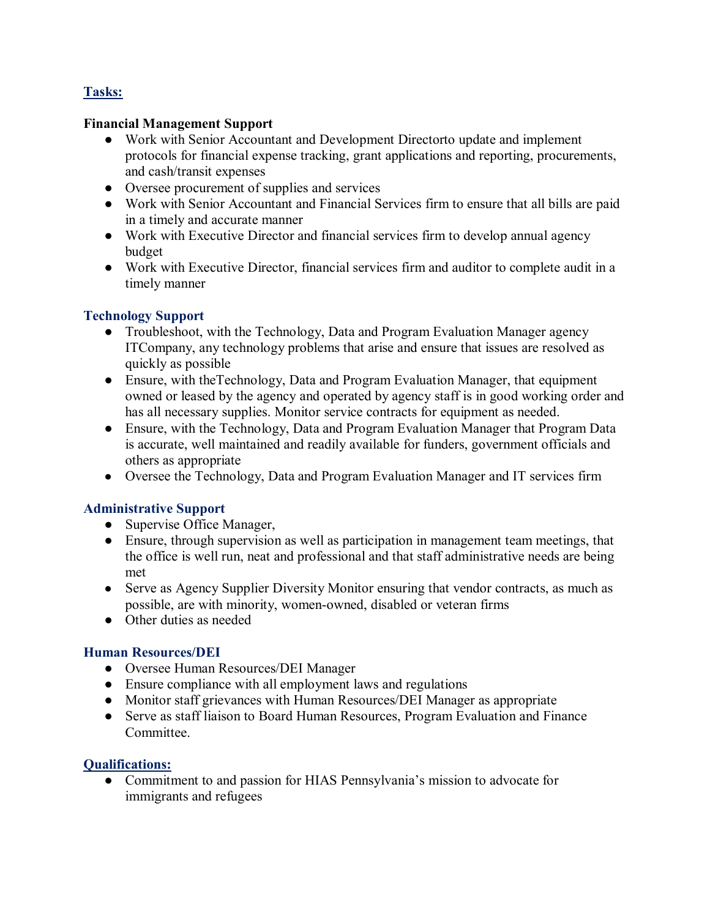## **Tasks:**

#### **Financial Management Support**

- Work with Senior Accountant and Development Directorto update and implement protocols for financial expense tracking, grant applications and reporting, procurements, and cash/transit expenses
- Oversee procurement of supplies and services
- Work with Senior Accountant and Financial Services firm to ensure that all bills are paid in a timely and accurate manner
- Work with Executive Director and financial services firm to develop annual agency budget
- Work with Executive Director, financial services firm and auditor to complete audit in a timely manner

#### **Technology Support**

- Troubleshoot, with the Technology, Data and Program Evaluation Manager agency ITCompany, any technology problems that arise and ensure that issues are resolved as quickly as possible
- Ensure, with theTechnology, Data and Program Evaluation Manager, that equipment owned or leased by the agency and operated by agency staff is in good working order and has all necessary supplies. Monitor service contracts for equipment as needed.
- Ensure, with the Technology, Data and Program Evaluation Manager that Program Data is accurate, well maintained and readily available for funders, government officials and others as appropriate
- Oversee the Technology, Data and Program Evaluation Manager and IT services firm

## **Administrative Support**

- Supervise Office Manager,
- Ensure, through supervision as well as participation in management team meetings, that the office is well run, neat and professional and that staff administrative needs are being met
- Serve as Agency Supplier Diversity Monitor ensuring that vendor contracts, as much as possible, are with minority, women-owned, disabled or veteran firms
- Other duties as needed

#### **Human Resources/DEI**

- Oversee Human Resources/DEI Manager
- Ensure compliance with all employment laws and regulations
- Monitor staff grievances with Human Resources/DEI Manager as appropriate
- Serve as staff liaison to Board Human Resources, Program Evaluation and Finance Committee.

### **Qualifications:**

• Commitment to and passion for HIAS Pennsylvania's mission to advocate for immigrants and refugees